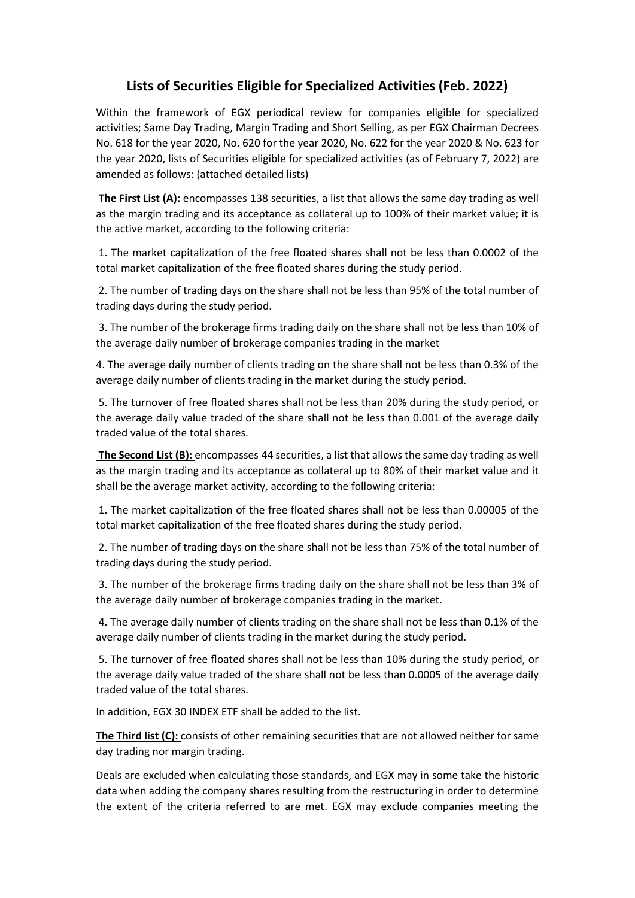## **Lists of Securities Eligible for Specialized Activities (Feb. 2022)**

Within the framework of EGX periodical review for companies eligible for specialized activities; Same Day Trading, Margin Trading and Short Selling, as per EGX Chairman Decrees No. 618 for the year 2020, No. 620 for the year 2020, No. 622 for the year 2020 & No. 623 for the year 2020, lists of Securities eligible for specialized activities (as of February 7, 2022) are amended as follows: (attached detailed lists)

 **The First List (A):** encompasses 138 securities, a list that allows the same day trading as well as the margin trading and its acceptance as collateral up to 100% of their market value; it is the active market, according to the following criteria:

1. The market capitalization of the free floated shares shall not be less than 0.0002 of the total market capitalization of the free floated shares during the study period.

 2. The number of trading days on the share shall not be less than 95% of the total number of trading days during the study period.

 3. The number of the brokerage firms trading daily on the share shall not be less than 10% of the average daily number of brokerage companies trading in the market

4. The average daily number of clients trading on the share shall not be less than 0.3% of the average daily number of clients trading in the market during the study period.

 5. The turnover of free floated shares shall not be less than 20% during the study period, or the average daily value traded of the share shall not be less than 0.001 of the average daily traded value of the total shares.

 **The Second List (B):** encompasses 44 securities, a list that allows the same day trading as well as the margin trading and its acceptance as collateral up to 80% of their market value and it shall be the average market activity, according to the following criteria:

1. The market capitalization of the free floated shares shall not be less than 0.00005 of the total market capitalization of the free floated shares during the study period.

 2. The number of trading days on the share shall not be less than 75% of the total number of trading days during the study period.

 3. The number of the brokerage firms trading daily on the share shall not be less than 3% of the average daily number of brokerage companies trading in the market.

 4. The average daily number of clients trading on the share shall not be less than 0.1% of the average daily number of clients trading in the market during the study period.

 5. The turnover of free floated shares shall not be less than 10% during the study period, or the average daily value traded of the share shall not be less than 0.0005 of the average daily traded value of the total shares.

In addition, EGX 30 INDEX ETF shall be added to the list.

**The Third list (C):** consists of other remaining securities that are not allowed neither for same day trading nor margin trading.

Deals are excluded when calculating those standards, and EGX may in some take the historic data when adding the company shares resulting from the restructuring in order to determine the extent of the criteria referred to are met. EGX may exclude companies meeting the